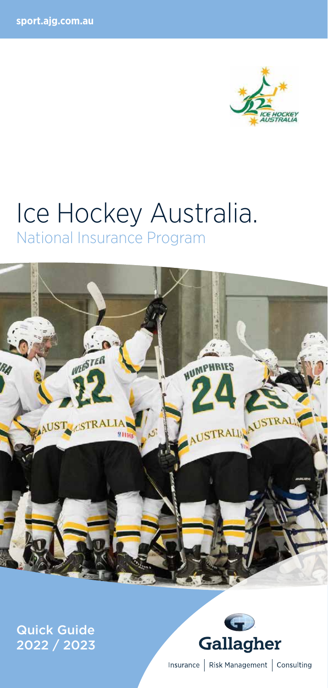

# Ice Hockey Australia. National Insurance Program



Quick Guide 2022 / 2023



Insurance | Risk Management | Consulting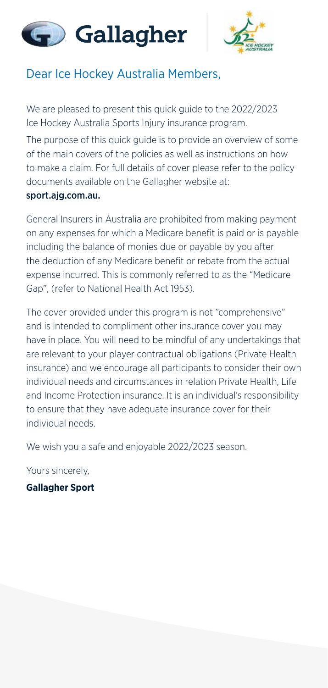



## Dear Ice Hockey Australia Members,

We are pleased to present this quick guide to the 2022/2023 Ice Hockey Australia Sports Injury insurance program.

The purpose of this quick guide is to provide an overview of some of the main covers of the policies as well as instructions on how to make a claim. For full details of cover please refer to the policy documents available on the Gallagher website at:

#### sport.ajg.com.au.

General Insurers in Australia are prohibited from making payment on any expenses for which a Medicare benefit is paid or is payable including the balance of monies due or payable by you after the deduction of any Medicare benefit or rebate from the actual expense incurred. This is commonly referred to as the "Medicare Gap", (refer to National Health Act 1953).

The cover provided under this program is not "comprehensive" and is intended to compliment other insurance cover you may have in place. You will need to be mindful of any undertakings that are relevant to your player contractual obligations (Private Health insurance) and we encourage all participants to consider their own individual needs and circumstances in relation Private Health, Life and Income Protection insurance. It is an individual's responsibility to ensure that they have adequate insurance cover for their individual needs.

We wish you a safe and enjoyable 2022/2023 season.

Yours sincerely,

**Gallagher Sport**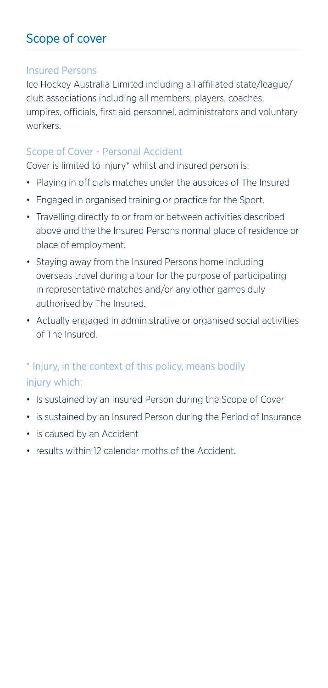# Scope of cover

#### Insured Persons

Ice Hockey Australia Limited including all affiliated state/league/ club associations including all members, players, coaches, umpires, officials, first aid personnel, administrators and voluntary workers.

#### Scope of Cover - Personal Accident

Cover is limited to injury\* whilst and insured person is:

- Playing in officials matches under the auspices of The Insured
- Engaged in organised training or practice for the Sport.
- Travelling directly to or from or between activities described above and the the Insured Persons normal place of residence or place of employment.
- Staying away from the Insured Persons home including overseas travel during a tour for the purpose of participating in representative matches and/or any other games duly authorised by The Insured.
- Actually engaged in administrative or organised social activities of The Insured.

## \* Injury, in the context of this policy, means bodily injury which:

- Is sustained by an Insured Person during the Scope of Cover
- is sustained by an Insured Person during the Period of Insurance
- is caused by an Accident
- results within 12 calendar moths of the Accident.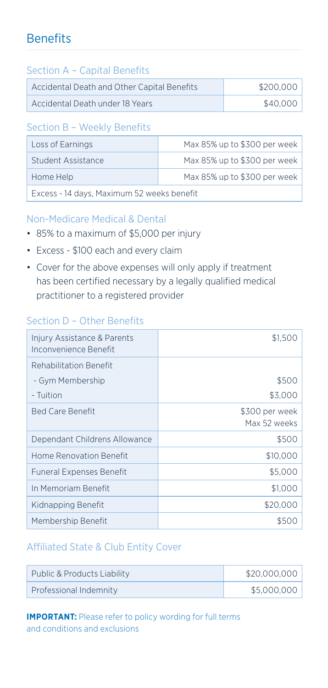# **Benefits**

#### Section A – Capital Benefits

| Accidental Death and Other Capital Benefits | \$200,000 |
|---------------------------------------------|-----------|
| Accidental Death under 18 Years             | \$40,000  |

#### Section B – Weekly Benefits

| Loss of Earnings                           | Max 85% up to \$300 per week |  |
|--------------------------------------------|------------------------------|--|
| Student Assistance                         | Max 85% up to \$300 per week |  |
| Home Help                                  | Max 85% up to \$300 per week |  |
| Excess - 14 days, Maximum 52 weeks benefit |                              |  |

#### Non-Medicare Medical & Dental

- 85% to a maximum of \$5,000 per injury
- Excess \$100 each and every claim
- Cover for the above expenses will only apply if treatment has been certified necessary by a legally qualified medical practitioner to a registered provider

#### Section D – Other Benefits

| Injury Assistance & Parents<br>Inconvenience Benefit | \$1,50                         |
|------------------------------------------------------|--------------------------------|
| Rehabilitation Benefit                               |                                |
| - Gym Membership                                     | \$500                          |
| - Tuition                                            | \$3,000                        |
| <b>Bed Care Benefit</b>                              | \$300 per week<br>Max 52 weeks |
| Dependant Childrens Allowance                        | \$500                          |
| Home Renovation Benefit                              | \$10,000                       |
| <b>Funeral Expenses Benefit</b>                      | \$5,000                        |
| In Memoriam Benefit                                  | \$1,000                        |
| Kidnapping Benefit                                   | \$20,000                       |
| Membership Benefit                                   |                                |

#### Affiliated State & Club Entity Cover

| Public & Products Liability | \$20,000,000 |
|-----------------------------|--------------|
| Professional Indemnity      | \$5,000,000  |

**IMPORTANT:** Please refer to policy wording for full terms and conditions and exclusions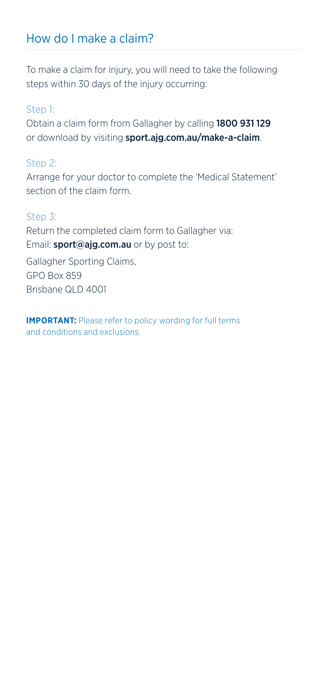## How do I make a claim?

To make a claim for injury, you will need to take the following steps within 30 days of the injury occurring:

#### Step 1:

Obtain a claim form from Gallagher by calling 1800 931 129 or download by visiting sport.ajg.com.au/make-a-claim.

#### Step 2:

Arrange for your doctor to complete the 'Medical Statement' section of the claim form.

#### Step 3:

Return the completed claim form to Gallagher via: Email: sport@ajg.com.au or by post to:

Gallagher Sporting Claims, GPO Box 859 Brisbane QLD 4001

**IMPORTANT:** Please refer to policy wording for full terms and conditions and exclusions.